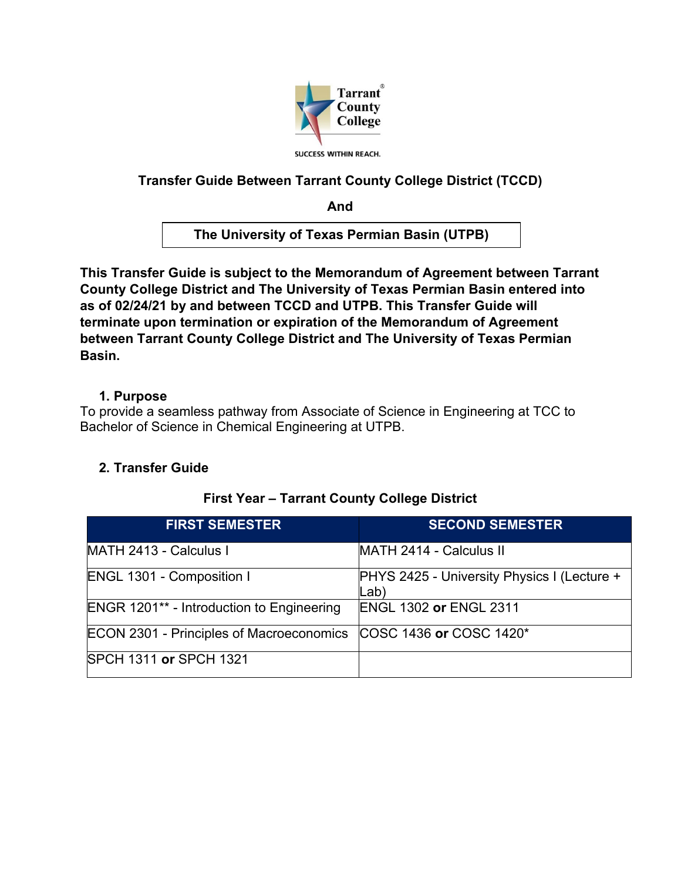

## **Transfer Guide Between Tarrant County College District (TCCD)**

**And**

**The University of Texas Permian Basin (UTPB)**

**This Transfer Guide is subject to the Memorandum of Agreement between Tarrant County College District and The University of Texas Permian Basin entered into as of 02/24/21 by and between TCCD and UTPB. This Transfer Guide will terminate upon termination or expiration of the Memorandum of Agreement between Tarrant County College District and The University of Texas Permian Basin.** 

#### **1. Purpose**

To provide a seamless pathway from Associate of Science in Engineering at TCC to Bachelor of Science in Chemical Engineering at UTPB.

## **2. Transfer Guide**

| <b>FIRST SEMESTER</b>                            | <b>SECOND SEMESTER</b>                              |
|--------------------------------------------------|-----------------------------------------------------|
| MATH 2413 - Calculus I                           | MATH 2414 - Calculus II                             |
| <b>ENGL 1301 - Composition I</b>                 | PHYS 2425 - University Physics I (Lecture +<br>Lab) |
| <b>ENGR 1201** - Introduction to Engineering</b> | <b>ENGL 1302 or ENGL 2311</b>                       |
| <b>ECON 2301 - Principles of Macroeconomics</b>  | COSC 1436 or COSC 1420*                             |
| <b>SPCH 1311 or SPCH 1321</b>                    |                                                     |

## **First Year – Tarrant County College District**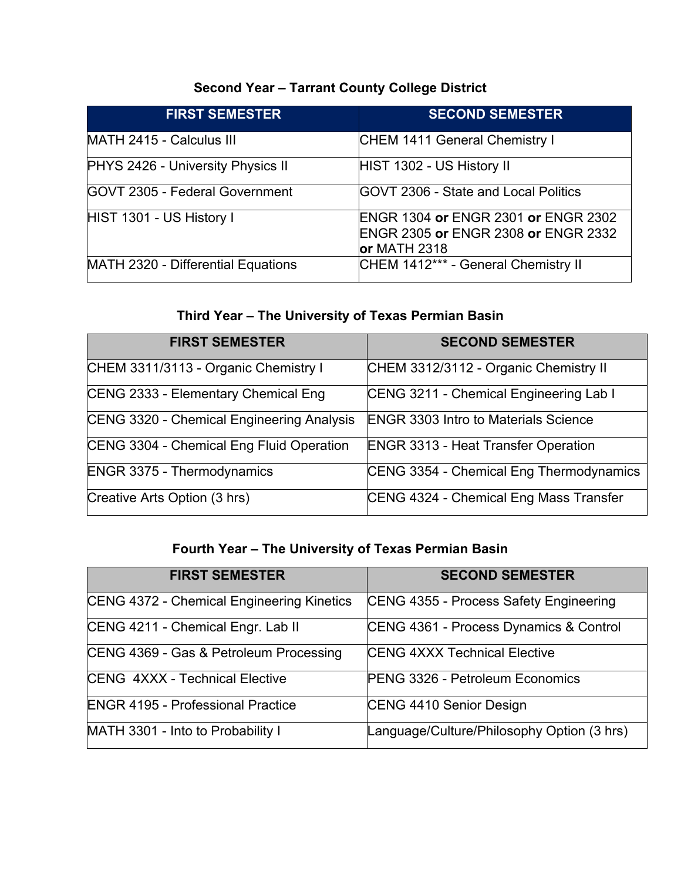# **Second Year – Tarrant County College District**

| <b>FIRST SEMESTER</b>                 | <b>SECOND SEMESTER</b>                                                                                     |
|---------------------------------------|------------------------------------------------------------------------------------------------------------|
| MATH 2415 - Calculus III              | CHEM 1411 General Chemistry I                                                                              |
| PHYS 2426 - University Physics II     | HIST 1302 - US History II                                                                                  |
| <b>GOVT 2305 - Federal Government</b> | <b>IGOVT 2306 - State and Local Politics</b>                                                               |
| HIST 1301 - US History I              | <b>ENGR 1304 or ENGR 2301 or ENGR 2302</b><br><b>ENGR 2305 or ENGR 2308 or ENGR 2332</b><br>$or$ MATH 2318 |
| MATH 2320 - Differential Equations    | CHEM 1412*** - General Chemistry II                                                                        |

# **Third Year – The University of Texas Permian Basin**

| <b>FIRST SEMESTER</b>                     | <b>SECOND SEMESTER</b>                      |
|-------------------------------------------|---------------------------------------------|
| CHEM 3311/3113 - Organic Chemistry I      | CHEM 3312/3112 - Organic Chemistry II       |
| CENG 2333 - Elementary Chemical Eng       | CENG 3211 - Chemical Engineering Lab I      |
| CENG 3320 - Chemical Engineering Analysis | <b>ENGR 3303 Intro to Materials Science</b> |
| CENG 3304 - Chemical Eng Fluid Operation  | <b>ENGR 3313 - Heat Transfer Operation</b>  |
| <b>ENGR 3375 - Thermodynamics</b>         | CENG 3354 - Chemical Eng Thermodynamics     |
| Creative Arts Option (3 hrs)              | CENG 4324 - Chemical Eng Mass Transfer      |

## **Fourth Year – The University of Texas Permian Basin**

| <b>FIRST SEMESTER</b>                     | <b>SECOND SEMESTER</b>                     |
|-------------------------------------------|--------------------------------------------|
| CENG 4372 - Chemical Engineering Kinetics | CENG 4355 - Process Safety Engineering     |
| CENG 4211 - Chemical Engr. Lab II         | CENG 4361 - Process Dynamics & Control     |
| CENG 4369 - Gas & Petroleum Processing    | <b>CENG 4XXX Technical Elective</b>        |
| <b>CENG 4XXX - Technical Elective</b>     | PENG 3326 - Petroleum Economics            |
| <b>ENGR 4195 - Professional Practice</b>  | CENG 4410 Senior Design                    |
| MATH 3301 - Into to Probability I         | Language/Culture/Philosophy Option (3 hrs) |